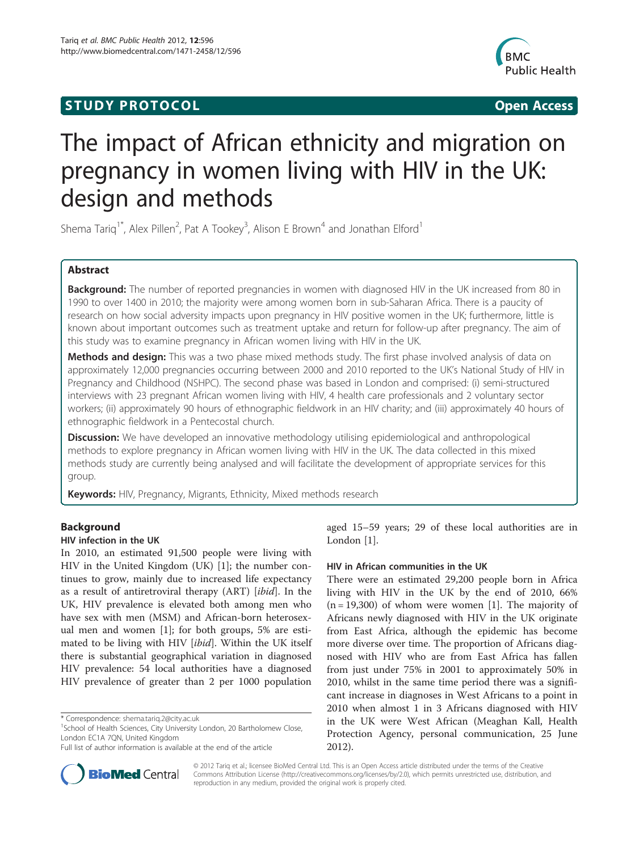# **STUDY PROTOCOL CONSUMING THE CONSUMING OPEN ACCESS**



# The impact of African ethnicity and migration on pregnancy in women living with HIV in the UK: design and methods

Shema Tariq<sup>1\*</sup>, Alex Pillen<sup>2</sup>, Pat A Tookey<sup>3</sup>, Alison E Brown<sup>4</sup> and Jonathan Elford<sup>1</sup>

# Abstract

Background: The number of reported pregnancies in women with diagnosed HIV in the UK increased from 80 in 1990 to over 1400 in 2010; the majority were among women born in sub-Saharan Africa. There is a paucity of research on how social adversity impacts upon pregnancy in HIV positive women in the UK; furthermore, little is known about important outcomes such as treatment uptake and return for follow-up after pregnancy. The aim of this study was to examine pregnancy in African women living with HIV in the UK.

**Methods and design:** This was a two phase mixed methods study. The first phase involved analysis of data on approximately 12,000 pregnancies occurring between 2000 and 2010 reported to the UK's National Study of HIV in Pregnancy and Childhood (NSHPC). The second phase was based in London and comprised: (i) semi-structured interviews with 23 pregnant African women living with HIV, 4 health care professionals and 2 voluntary sector workers; (ii) approximately 90 hours of ethnographic fieldwork in an HIV charity; and (iii) approximately 40 hours of ethnographic fieldwork in a Pentecostal church.

**Discussion:** We have developed an innovative methodology utilising epidemiological and anthropological methods to explore pregnancy in African women living with HIV in the UK. The data collected in this mixed methods study are currently being analysed and will facilitate the development of appropriate services for this group.

Keywords: HIV, Pregnancy, Migrants, Ethnicity, Mixed methods research

# Background

# HIV infection in the UK

In 2010, an estimated 91,500 people were living with HIV in the United Kingdom (UK) [[1\]](#page-7-0); the number continues to grow, mainly due to increased life expectancy as a result of antiretroviral therapy (ART) [ibid]. In the UK, HIV prevalence is elevated both among men who have sex with men (MSM) and African-born heterosexual men and women [\[1](#page-7-0)]; for both groups, 5% are estimated to be living with HIV [ibid]. Within the UK itself there is substantial geographical variation in diagnosed HIV prevalence: 54 local authorities have a diagnosed HIV prevalence of greater than 2 per 1000 population

<sup>1</sup>School of Health Sciences, City University London, 20 Bartholomew Close, London EC1A 7QN, United Kingdom



# HIV in African communities in the UK

There were an estimated 29,200 people born in Africa living with HIV in the UK by the end of 2010, 66%  $(n = 19,300)$  of whom were women [\[1](#page-7-0)]. The majority of Africans newly diagnosed with HIV in the UK originate from East Africa, although the epidemic has become more diverse over time. The proportion of Africans diagnosed with HIV who are from East Africa has fallen from just under 75% in 2001 to approximately 50% in 2010, whilst in the same time period there was a significant increase in diagnoses in West Africans to a point in 2010 when almost 1 in 3 Africans diagnosed with HIV in the UK were West African (Meaghan Kall, Health Protection Agency, personal communication, 25 June 2012).



© 2012 Tariq et al.; licensee BioMed Central Ltd. This is an Open Access article distributed under the terms of the Creative Commons Attribution License [\(http://creativecommons.org/licenses/by/2.0\)](http://creativecommons.org/licenses/by/2.0), which permits unrestricted use, distribution, and reproduction in any medium, provided the original work is properly cited.

<sup>\*</sup> Correspondence: [shema.tariq.2@city.ac.uk](mailto:shema.tariq.2@city.ac.uk) <sup>1</sup>

Full list of author information is available at the end of the article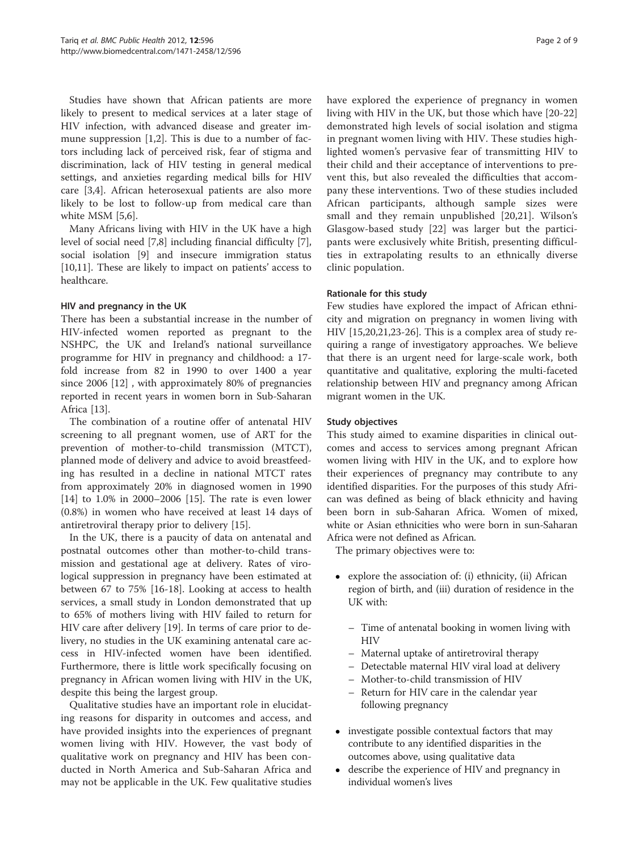Studies have shown that African patients are more likely to present to medical services at a later stage of HIV infection, with advanced disease and greater immune suppression [\[1,2](#page-7-0)]. This is due to a number of factors including lack of perceived risk, fear of stigma and discrimination, lack of HIV testing in general medical settings, and anxieties regarding medical bills for HIV care [\[3,4](#page-7-0)]. African heterosexual patients are also more likely to be lost to follow-up from medical care than white MSM [\[5,6](#page-7-0)].

Many Africans living with HIV in the UK have a high level of social need [[7,8\]](#page-7-0) including financial difficulty [\[7](#page-7-0)], social isolation [\[9](#page-7-0)] and insecure immigration status [[10,11\]](#page-7-0). These are likely to impact on patients' access to healthcare.

# HIV and pregnancy in the UK

There has been a substantial increase in the number of HIV-infected women reported as pregnant to the NSHPC, the UK and Ireland's national surveillance programme for HIV in pregnancy and childhood: a 17 fold increase from 82 in 1990 to over 1400 a year since 2006 [[12](#page-7-0)] , with approximately 80% of pregnancies reported in recent years in women born in Sub-Saharan Africa [[13](#page-7-0)].

The combination of a routine offer of antenatal HIV screening to all pregnant women, use of ART for the prevention of mother-to-child transmission (MTCT), planned mode of delivery and advice to avoid breastfeeding has resulted in a decline in national MTCT rates from approximately 20% in diagnosed women in 1990 [[14\]](#page-7-0) to 1.0% in 2000–2006 [\[15\]](#page-7-0). The rate is even lower (0.8%) in women who have received at least 14 days of antiretroviral therapy prior to delivery [[15](#page-7-0)].

In the UK, there is a paucity of data on antenatal and postnatal outcomes other than mother-to-child transmission and gestational age at delivery. Rates of virological suppression in pregnancy have been estimated at between 67 to 75% [[16](#page-7-0)-[18\]](#page-8-0). Looking at access to health services, a small study in London demonstrated that up to 65% of mothers living with HIV failed to return for HIV care after delivery [[19\]](#page-8-0). In terms of care prior to delivery, no studies in the UK examining antenatal care access in HIV-infected women have been identified. Furthermore, there is little work specifically focusing on pregnancy in African women living with HIV in the UK, despite this being the largest group.

Qualitative studies have an important role in elucidating reasons for disparity in outcomes and access, and have provided insights into the experiences of pregnant women living with HIV. However, the vast body of qualitative work on pregnancy and HIV has been conducted in North America and Sub-Saharan Africa and may not be applicable in the UK. Few qualitative studies have explored the experience of pregnancy in women living with HIV in the UK, but those which have [[20-22](#page-8-0)] demonstrated high levels of social isolation and stigma in pregnant women living with HIV. These studies highlighted women's pervasive fear of transmitting HIV to their child and their acceptance of interventions to prevent this, but also revealed the difficulties that accompany these interventions. Two of these studies included African participants, although sample sizes were small and they remain unpublished [\[20](#page-8-0),[21\]](#page-8-0). Wilson's Glasgow-based study [\[22](#page-8-0)] was larger but the participants were exclusively white British, presenting difficulties in extrapolating results to an ethnically diverse clinic population.

#### Rationale for this study

Few studies have explored the impact of African ethnicity and migration on pregnancy in women living with HIV [\[15](#page-7-0)[,20,21,23](#page-8-0)-[26\]](#page-8-0). This is a complex area of study requiring a range of investigatory approaches. We believe that there is an urgent need for large-scale work, both quantitative and qualitative, exploring the multi-faceted relationship between HIV and pregnancy among African migrant women in the UK.

#### Study objectives

This study aimed to examine disparities in clinical outcomes and access to services among pregnant African women living with HIV in the UK, and to explore how their experiences of pregnancy may contribute to any identified disparities. For the purposes of this study African was defined as being of black ethnicity and having been born in sub-Saharan Africa. Women of mixed, white or Asian ethnicities who were born in sun-Saharan Africa were not defined as African.

The primary objectives were to:

- explore the association of: (i) ethnicity, (ii) African region of birth, and (iii) duration of residence in the UK with:
	- Time of antenatal booking in women living with HIV
	- Maternal uptake of antiretroviral therapy
	- Detectable maternal HIV viral load at delivery
	- Mother-to-child transmission of HIV
	- Return for HIV care in the calendar year following pregnancy
- investigate possible contextual factors that may contribute to any identified disparities in the outcomes above, using qualitative data
- describe the experience of HIV and pregnancy in individual women's lives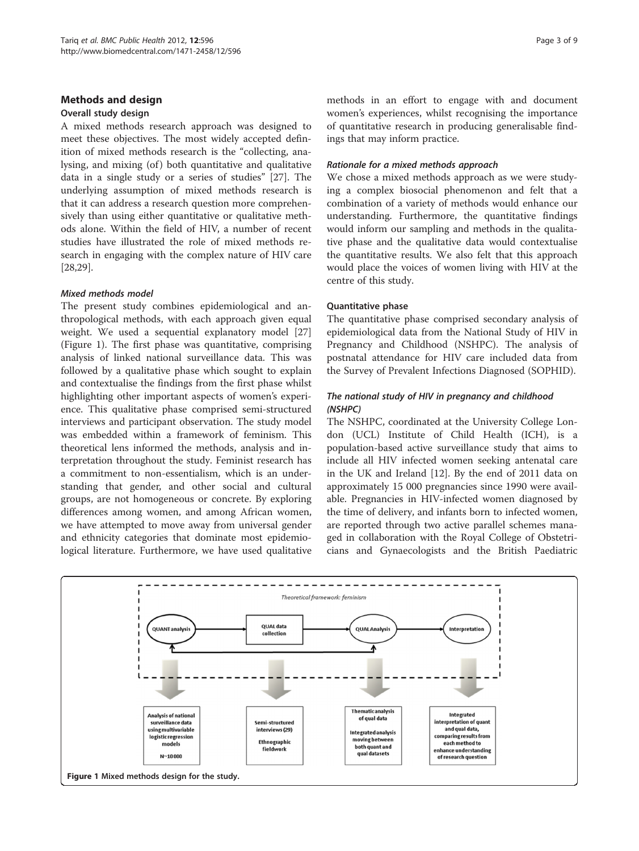#### Methods and design

#### Overall study design

A mixed methods research approach was designed to meet these objectives. The most widely accepted definition of mixed methods research is the "collecting, analysing, and mixing (of) both quantitative and qualitative data in a single study or a series of studies" [[27\]](#page-8-0). The underlying assumption of mixed methods research is that it can address a research question more comprehensively than using either quantitative or qualitative methods alone. Within the field of HIV, a number of recent studies have illustrated the role of mixed methods research in engaging with the complex nature of HIV care [[28,29\]](#page-8-0).

#### Mixed methods model

The present study combines epidemiological and anthropological methods, with each approach given equal weight. We used a sequential explanatory model [[27](#page-8-0)] (Figure 1). The first phase was quantitative, comprising analysis of linked national surveillance data. This was followed by a qualitative phase which sought to explain and contextualise the findings from the first phase whilst highlighting other important aspects of women's experience. This qualitative phase comprised semi-structured interviews and participant observation. The study model was embedded within a framework of feminism. This theoretical lens informed the methods, analysis and interpretation throughout the study. Feminist research has a commitment to non-essentialism, which is an understanding that gender, and other social and cultural groups, are not homogeneous or concrete. By exploring differences among women, and among African women, we have attempted to move away from universal gender and ethnicity categories that dominate most epidemiological literature. Furthermore, we have used qualitative

methods in an effort to engage with and document women's experiences, whilst recognising the importance of quantitative research in producing generalisable findings that may inform practice.

#### Rationale for a mixed methods approach

We chose a mixed methods approach as we were studying a complex biosocial phenomenon and felt that a combination of a variety of methods would enhance our understanding. Furthermore, the quantitative findings would inform our sampling and methods in the qualitative phase and the qualitative data would contextualise the quantitative results. We also felt that this approach would place the voices of women living with HIV at the centre of this study.

#### Quantitative phase

The quantitative phase comprised secondary analysis of epidemiological data from the National Study of HIV in Pregnancy and Childhood (NSHPC). The analysis of postnatal attendance for HIV care included data from the Survey of Prevalent Infections Diagnosed (SOPHID).

# The national study of HIV in pregnancy and childhood (NSHPC)

The NSHPC, coordinated at the University College London (UCL) Institute of Child Health (ICH), is a population-based active surveillance study that aims to include all HIV infected women seeking antenatal care in the UK and Ireland [[12](#page-7-0)]. By the end of 2011 data on approximately 15 000 pregnancies since 1990 were available. Pregnancies in HIV-infected women diagnosed by the time of delivery, and infants born to infected women, are reported through two active parallel schemes managed in collaboration with the Royal College of Obstetricians and Gynaecologists and the British Paediatric

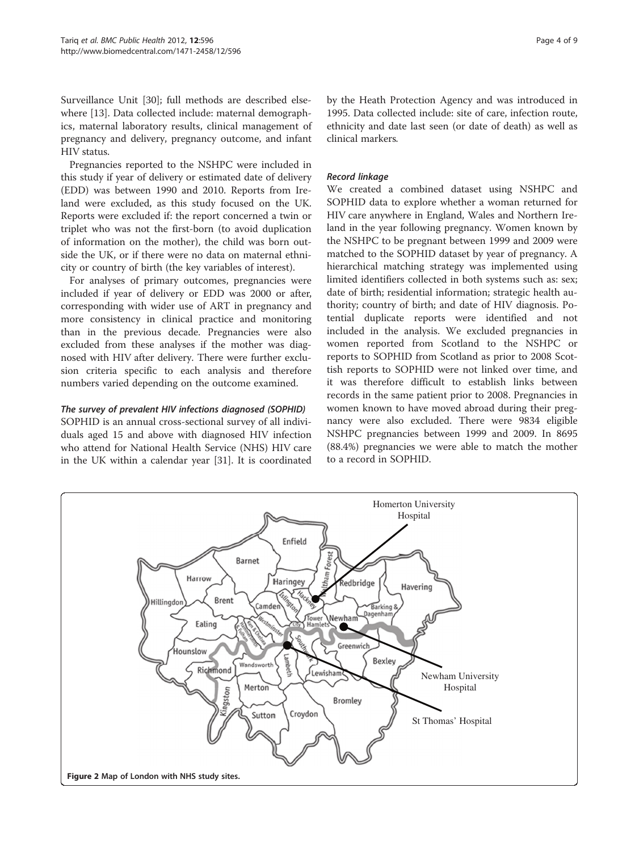<span id="page-3-0"></span>Surveillance Unit [\[30\]](#page-8-0); full methods are described elsewhere [\[13](#page-7-0)]. Data collected include: maternal demographics, maternal laboratory results, clinical management of pregnancy and delivery, pregnancy outcome, and infant HIV status.

Pregnancies reported to the NSHPC were included in this study if year of delivery or estimated date of delivery (EDD) was between 1990 and 2010. Reports from Ireland were excluded, as this study focused on the UK. Reports were excluded if: the report concerned a twin or triplet who was not the first-born (to avoid duplication of information on the mother), the child was born outside the UK, or if there were no data on maternal ethnicity or country of birth (the key variables of interest).

For analyses of primary outcomes, pregnancies were included if year of delivery or EDD was 2000 or after, corresponding with wider use of ART in pregnancy and more consistency in clinical practice and monitoring than in the previous decade. Pregnancies were also excluded from these analyses if the mother was diagnosed with HIV after delivery. There were further exclusion criteria specific to each analysis and therefore numbers varied depending on the outcome examined.

# The survey of prevalent HIV infections diagnosed (SOPHID)

SOPHID is an annual cross-sectional survey of all individuals aged 15 and above with diagnosed HIV infection who attend for National Health Service (NHS) HIV care in the UK within a calendar year [[31](#page-8-0)]. It is coordinated by the Heath Protection Agency and was introduced in 1995. Data collected include: site of care, infection route, ethnicity and date last seen (or date of death) as well as clinical markers.

#### Record linkage

We created a combined dataset using NSHPC and SOPHID data to explore whether a woman returned for HIV care anywhere in England, Wales and Northern Ireland in the year following pregnancy. Women known by the NSHPC to be pregnant between 1999 and 2009 were matched to the SOPHID dataset by year of pregnancy. A hierarchical matching strategy was implemented using limited identifiers collected in both systems such as: sex; date of birth; residential information; strategic health authority; country of birth; and date of HIV diagnosis. Potential duplicate reports were identified and not included in the analysis. We excluded pregnancies in women reported from Scotland to the NSHPC or reports to SOPHID from Scotland as prior to 2008 Scottish reports to SOPHID were not linked over time, and it was therefore difficult to establish links between records in the same patient prior to 2008. Pregnancies in women known to have moved abroad during their pregnancy were also excluded. There were 9834 eligible NSHPC pregnancies between 1999 and 2009. In 8695 (88.4%) pregnancies we were able to match the mother to a record in SOPHID.

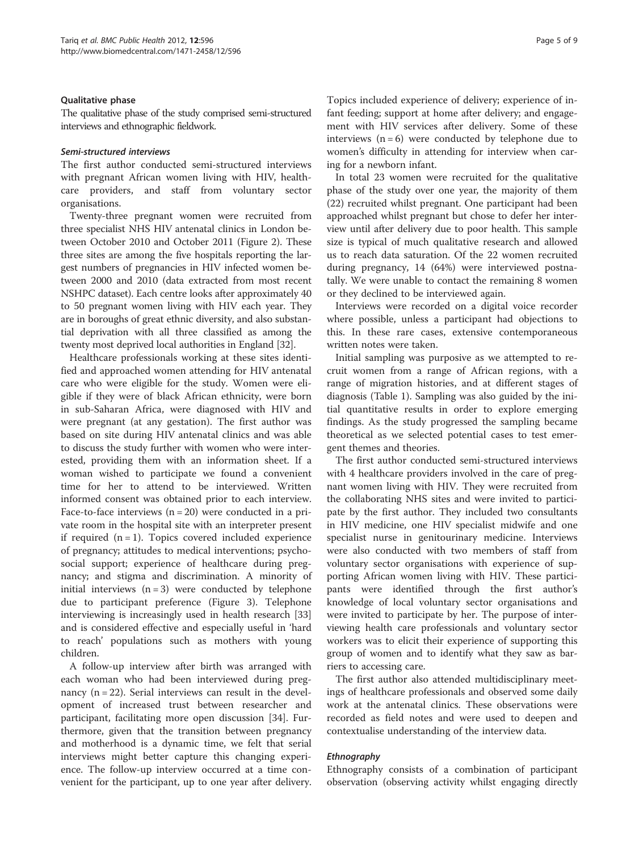#### Qualitative phase

The qualitative phase of the study comprised semi-structured interviews and ethnographic fieldwork.

#### Semi-structured interviews

The first author conducted semi-structured interviews with pregnant African women living with HIV, healthcare providers, and staff from voluntary sector organisations.

Twenty-three pregnant women were recruited from three specialist NHS HIV antenatal clinics in London between October 2010 and October 2011 (Figure [2\)](#page-3-0). These three sites are among the five hospitals reporting the largest numbers of pregnancies in HIV infected women between 2000 and 2010 (data extracted from most recent NSHPC dataset). Each centre looks after approximately 40 to 50 pregnant women living with HIV each year. They are in boroughs of great ethnic diversity, and also substantial deprivation with all three classified as among the twenty most deprived local authorities in England [[32\]](#page-8-0).

Healthcare professionals working at these sites identified and approached women attending for HIV antenatal care who were eligible for the study. Women were eligible if they were of black African ethnicity, were born in sub-Saharan Africa, were diagnosed with HIV and were pregnant (at any gestation). The first author was based on site during HIV antenatal clinics and was able to discuss the study further with women who were interested, providing them with an information sheet. If a woman wished to participate we found a convenient time for her to attend to be interviewed. Written informed consent was obtained prior to each interview. Face-to-face interviews  $(n = 20)$  were conducted in a private room in the hospital site with an interpreter present if required  $(n = 1)$ . Topics covered included experience of pregnancy; attitudes to medical interventions; psychosocial support; experience of healthcare during pregnancy; and stigma and discrimination. A minority of initial interviews  $(n = 3)$  were conducted by telephone due to participant preference (Figure [3](#page-5-0)). Telephone interviewing is increasingly used in health research [[33](#page-8-0)] and is considered effective and especially useful in 'hard to reach' populations such as mothers with young children.

A follow-up interview after birth was arranged with each woman who had been interviewed during pregnancy  $(n = 22)$ . Serial interviews can result in the development of increased trust between researcher and participant, facilitating more open discussion [[34\]](#page-8-0). Furthermore, given that the transition between pregnancy and motherhood is a dynamic time, we felt that serial interviews might better capture this changing experience. The follow-up interview occurred at a time convenient for the participant, up to one year after delivery.

Topics included experience of delivery; experience of infant feeding; support at home after delivery; and engagement with HIV services after delivery. Some of these interviews  $(n = 6)$  were conducted by telephone due to women's difficulty in attending for interview when caring for a newborn infant.

In total 23 women were recruited for the qualitative phase of the study over one year, the majority of them (22) recruited whilst pregnant. One participant had been approached whilst pregnant but chose to defer her interview until after delivery due to poor health. This sample size is typical of much qualitative research and allowed us to reach data saturation. Of the 22 women recruited during pregnancy, 14 (64%) were interviewed postnatally. We were unable to contact the remaining 8 women or they declined to be interviewed again.

Interviews were recorded on a digital voice recorder where possible, unless a participant had objections to this. In these rare cases, extensive contemporaneous written notes were taken.

Initial sampling was purposive as we attempted to recruit women from a range of African regions, with a range of migration histories, and at different stages of diagnosis (Table [1\)](#page-5-0). Sampling was also guided by the initial quantitative results in order to explore emerging findings. As the study progressed the sampling became theoretical as we selected potential cases to test emergent themes and theories.

The first author conducted semi-structured interviews with 4 healthcare providers involved in the care of pregnant women living with HIV. They were recruited from the collaborating NHS sites and were invited to participate by the first author. They included two consultants in HIV medicine, one HIV specialist midwife and one specialist nurse in genitourinary medicine. Interviews were also conducted with two members of staff from voluntary sector organisations with experience of supporting African women living with HIV. These participants were identified through the first author's knowledge of local voluntary sector organisations and were invited to participate by her. The purpose of interviewing health care professionals and voluntary sector workers was to elicit their experience of supporting this group of women and to identify what they saw as barriers to accessing care.

The first author also attended multidisciplinary meetings of healthcare professionals and observed some daily work at the antenatal clinics. These observations were recorded as field notes and were used to deepen and contextualise understanding of the interview data.

#### Ethnography

Ethnography consists of a combination of participant observation (observing activity whilst engaging directly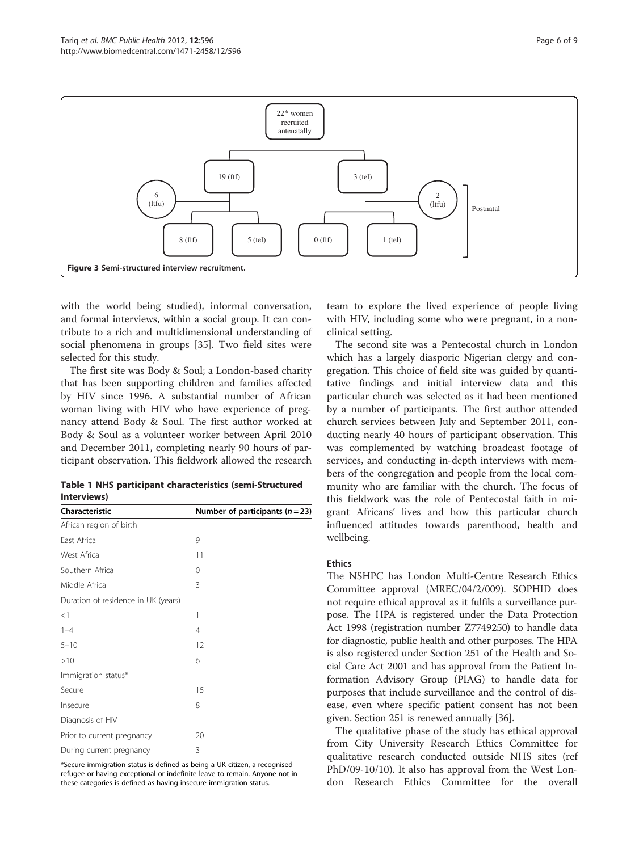<span id="page-5-0"></span>

with the world being studied), informal conversation, and formal interviews, within a social group. It can contribute to a rich and multidimensional understanding of social phenomena in groups [\[35](#page-8-0)]. Two field sites were selected for this study.

The first site was Body & Soul; a London-based charity that has been supporting children and families affected by HIV since 1996. A substantial number of African woman living with HIV who have experience of pregnancy attend Body & Soul. The first author worked at Body & Soul as a volunteer worker between April 2010 and December 2011, completing nearly 90 hours of participant observation. This fieldwork allowed the research

|             |  |  | Table 1 NHS participant characteristics (semi-Structured |
|-------------|--|--|----------------------------------------------------------|
| Interviews) |  |  |                                                          |

| Characteristic                      | Number of participants ( $n = 23$ ) |  |  |  |
|-------------------------------------|-------------------------------------|--|--|--|
| African region of birth             |                                     |  |  |  |
| East Africa                         | 9                                   |  |  |  |
| West Africa                         | 11                                  |  |  |  |
| Southern Africa                     | 0                                   |  |  |  |
| Middle Africa                       | 3                                   |  |  |  |
| Duration of residence in UK (years) |                                     |  |  |  |
| <1                                  | 1                                   |  |  |  |
| $1 - 4$                             | $\overline{4}$                      |  |  |  |
| $5 - 10$                            | 12                                  |  |  |  |
| >10                                 | 6                                   |  |  |  |
| Immigration status*                 |                                     |  |  |  |
| Secure                              | 15                                  |  |  |  |
| Insecure                            | 8                                   |  |  |  |
| Diagnosis of HIV                    |                                     |  |  |  |
| Prior to current pregnancy          | 20                                  |  |  |  |
| During current pregnancy            | 3                                   |  |  |  |

\*Secure immigration status is defined as being a UK citizen, a recognised refugee or having exceptional or indefinite leave to remain. Anyone not in these categories is defined as having insecure immigration status.

team to explore the lived experience of people living with HIV, including some who were pregnant, in a nonclinical setting.

The second site was a Pentecostal church in London which has a largely diasporic Nigerian clergy and congregation. This choice of field site was guided by quantitative findings and initial interview data and this particular church was selected as it had been mentioned by a number of participants. The first author attended church services between July and September 2011, conducting nearly 40 hours of participant observation. This was complemented by watching broadcast footage of services, and conducting in-depth interviews with members of the congregation and people from the local community who are familiar with the church. The focus of this fieldwork was the role of Pentecostal faith in migrant Africans' lives and how this particular church influenced attitudes towards parenthood, health and wellbeing.

#### Ethics

The NSHPC has London Multi-Centre Research Ethics Committee approval (MREC/04/2/009). SOPHID does not require ethical approval as it fulfils a surveillance purpose. The HPA is registered under the Data Protection Act 1998 (registration number Z7749250) to handle data for diagnostic, public health and other purposes. The HPA is also registered under Section 251 of the Health and Social Care Act 2001 and has approval from the Patient Information Advisory Group (PIAG) to handle data for purposes that include surveillance and the control of disease, even where specific patient consent has not been given. Section 251 is renewed annually [\[36](#page-8-0)].

The qualitative phase of the study has ethical approval from City University Research Ethics Committee for qualitative research conducted outside NHS sites (ref PhD/09-10/10). It also has approval from the West London Research Ethics Committee for the overall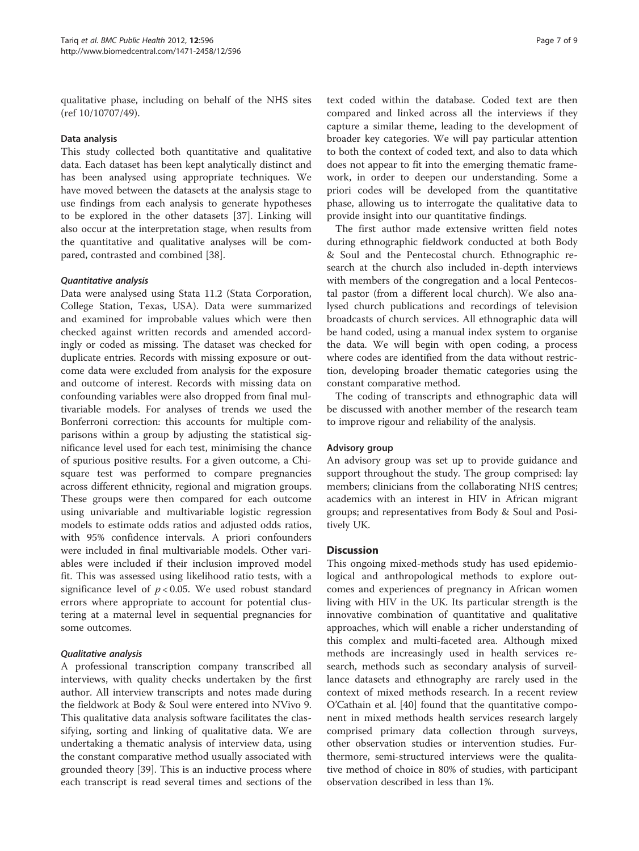qualitative phase, including on behalf of the NHS sites (ref 10/10707/49).

#### Data analysis

This study collected both quantitative and qualitative data. Each dataset has been kept analytically distinct and has been analysed using appropriate techniques. We have moved between the datasets at the analysis stage to use findings from each analysis to generate hypotheses to be explored in the other datasets [[37](#page-8-0)]. Linking will also occur at the interpretation stage, when results from the quantitative and qualitative analyses will be compared, contrasted and combined [[38\]](#page-8-0).

#### Quantitative analysis

Data were analysed using Stata 11.2 (Stata Corporation, College Station, Texas, USA). Data were summarized and examined for improbable values which were then checked against written records and amended accordingly or coded as missing. The dataset was checked for duplicate entries. Records with missing exposure or outcome data were excluded from analysis for the exposure and outcome of interest. Records with missing data on confounding variables were also dropped from final multivariable models. For analyses of trends we used the Bonferroni correction: this accounts for multiple comparisons within a group by adjusting the statistical significance level used for each test, minimising the chance of spurious positive results. For a given outcome, a Chisquare test was performed to compare pregnancies across different ethnicity, regional and migration groups. These groups were then compared for each outcome using univariable and multivariable logistic regression models to estimate odds ratios and adjusted odds ratios, with 95% confidence intervals. A priori confounders were included in final multivariable models. Other variables were included if their inclusion improved model fit. This was assessed using likelihood ratio tests, with a significance level of  $p < 0.05$ . We used robust standard errors where appropriate to account for potential clustering at a maternal level in sequential pregnancies for some outcomes.

#### Qualitative analysis

A professional transcription company transcribed all interviews, with quality checks undertaken by the first author. All interview transcripts and notes made during the fieldwork at Body & Soul were entered into NVivo 9. This qualitative data analysis software facilitates the classifying, sorting and linking of qualitative data. We are undertaking a thematic analysis of interview data, using the constant comparative method usually associated with grounded theory [[39\]](#page-8-0). This is an inductive process where each transcript is read several times and sections of the text coded within the database. Coded text are then compared and linked across all the interviews if they capture a similar theme, leading to the development of broader key categories. We will pay particular attention to both the context of coded text, and also to data which does not appear to fit into the emerging thematic framework, in order to deepen our understanding. Some a priori codes will be developed from the quantitative phase, allowing us to interrogate the qualitative data to provide insight into our quantitative findings.

The first author made extensive written field notes during ethnographic fieldwork conducted at both Body & Soul and the Pentecostal church. Ethnographic research at the church also included in-depth interviews with members of the congregation and a local Pentecostal pastor (from a different local church). We also analysed church publications and recordings of television broadcasts of church services. All ethnographic data will be hand coded, using a manual index system to organise the data. We will begin with open coding, a process where codes are identified from the data without restriction, developing broader thematic categories using the constant comparative method.

The coding of transcripts and ethnographic data will be discussed with another member of the research team to improve rigour and reliability of the analysis.

#### Advisory group

An advisory group was set up to provide guidance and support throughout the study. The group comprised: lay members; clinicians from the collaborating NHS centres; academics with an interest in HIV in African migrant groups; and representatives from Body & Soul and Positively UK.

# **Discussion**

This ongoing mixed-methods study has used epidemiological and anthropological methods to explore outcomes and experiences of pregnancy in African women living with HIV in the UK. Its particular strength is the innovative combination of quantitative and qualitative approaches, which will enable a richer understanding of this complex and multi-faceted area. Although mixed methods are increasingly used in health services research, methods such as secondary analysis of surveillance datasets and ethnography are rarely used in the context of mixed methods research. In a recent review O'Cathain et al. [[40\]](#page-8-0) found that the quantitative component in mixed methods health services research largely comprised primary data collection through surveys, other observation studies or intervention studies. Furthermore, semi-structured interviews were the qualitative method of choice in 80% of studies, with participant observation described in less than 1%.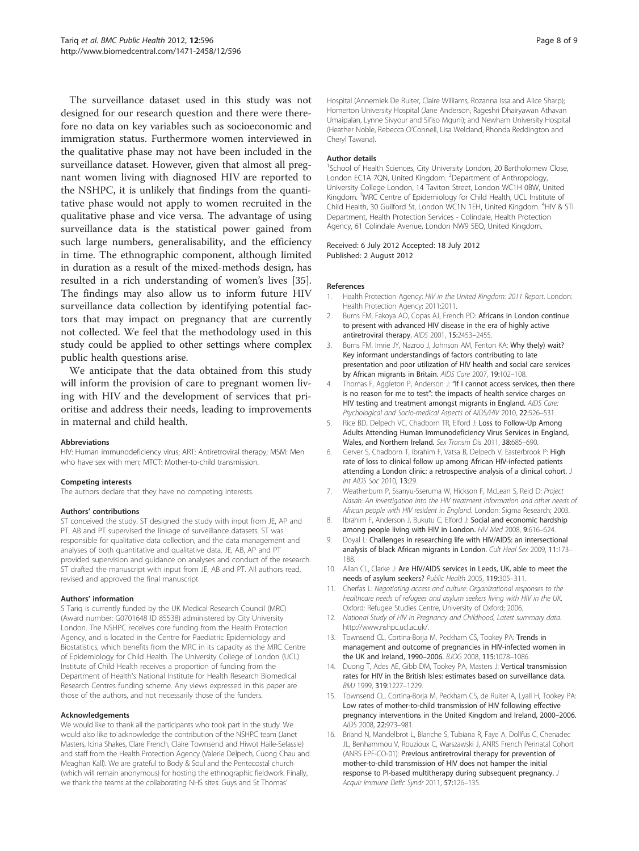<span id="page-7-0"></span>The surveillance dataset used in this study was not designed for our research question and there were therefore no data on key variables such as socioeconomic and immigration status. Furthermore women interviewed in the qualitative phase may not have been included in the surveillance dataset. However, given that almost all pregnant women living with diagnosed HIV are reported to the NSHPC, it is unlikely that findings from the quantitative phase would not apply to women recruited in the qualitative phase and vice versa. The advantage of using surveillance data is the statistical power gained from such large numbers, generalisability, and the efficiency in time. The ethnographic component, although limited in duration as a result of the mixed-methods design, has resulted in a rich understanding of women's lives [\[35](#page-8-0)]. The findings may also allow us to inform future HIV surveillance data collection by identifying potential factors that may impact on pregnancy that are currently not collected. We feel that the methodology used in this study could be applied to other settings where complex public health questions arise.

We anticipate that the data obtained from this study will inform the provision of care to pregnant women living with HIV and the development of services that prioritise and address their needs, leading to improvements in maternal and child health.

#### Abbreviations

HIV: Human immunodeficiency virus; ART: Antiretroviral therapy; MSM: Men who have sex with men; MTCT: Mother-to-child transmission.

#### Competing interests

The authors declare that they have no competing interests.

#### Authors' contributions

ST conceived the study. ST designed the study with input from JE, AP and PT. AB and PT supervised the linkage of surveillance datasets. ST was responsible for qualitative data collection, and the data management and analyses of both quantitative and qualitative data. JE, AB, AP and PT provided supervision and guidance on analyses and conduct of the research. ST drafted the manuscript with input from JE, AB and PT. All authors read, revised and approved the final manuscript.

#### Authors' information

S Tariq is currently funded by the UK Medical Research Council (MRC) (Award number: G0701648 ID 85538) administered by City University London. The NSHPC receives core funding from the Health Protection Agency, and is located in the Centre for Paediatric Epidemiology and Biostatistics, which benefits from the MRC in its capacity as the MRC Centre of Epidemiology for Child Health. The University College of London (UCL) Institute of Child Health receives a proportion of funding from the Department of Health's National Institute for Health Research Biomedical Research Centres funding scheme. Any views expressed in this paper are those of the authors, and not necessarily those of the funders.

#### Acknowledgements

We would like to thank all the participants who took part in the study. We would also like to acknowledge the contribution of the NSHPC team (Janet Masters, Icina Shakes, Clare French, Claire Townsend and Hiwot Haile-Selassie) and staff from the Health Protection Agency (Valerie Delpech, Cuong Chau and Meaghan Kall). We are grateful to Body & Soul and the Pentecostal church (which will remain anonymous) for hosting the ethnographic fieldwork. Finally, we thank the teams at the collaborating NHS sites: Guys and St Thomas'

Hospital (Annemiek De Ruiter, Claire Williams, Rozanna Issa and Alice Sharp); Homerton University Hospital (Jane Anderson, Rageshri Dhairyawan Athavan Umaipalan, Lynne Sivyour and Sifiso Mguni); and Newham University Hospital (Heather Noble, Rebecca O'Connell, Lisa Welcland, Rhonda Reddington and Cheryl Tawana).

#### Author details

<sup>1</sup>School of Health Sciences, City University London, 20 Bartholomew Close, London EC1A 7QN, United Kingdom. <sup>2</sup>Department of Anthropology, University College London, 14 Taviton Street, London WC1H 0BW, United Kingdom. <sup>3</sup>MRC Centre of Epidemiology for Child Health, UCL Institute of Child Health, 30 Guilford St, London WC1N 1EH, United Kingdom. <sup>4</sup>HIV & STI Department, Health Protection Services - Colindale, Health Protection Agency, 61 Colindale Avenue, London NW9 5EQ, United Kingdom.

#### Received: 6 July 2012 Accepted: 18 July 2012 Published: 2 August 2012

#### References

- 1. Health Protection Agency: HIV in the United Kingdom: 2011 Report. London: Health Protection Agency; 2011:2011.
- 2. Burns FM, Fakoya AO, Copas AJ, French PD: Africans in London continue to present with advanced HIV disease in the era of highly active antiretroviral therapy. AIDS 2001, 15:2453–2455.
- 3. Burns FM, Imrie JY, Nazroo J, Johnson AM, Fenton KA: Why the(y) wait? Key informant understandings of factors contributing to late presentation and poor utilization of HIV health and social care services by African migrants in Britain. AIDS Care 2007, 19:102–108.
- 4. Thomas F, Aggleton P, Anderson J: "If I cannot access services, then there is no reason for me to test": the impacts of health service charges on HIV testing and treatment amongst migrants in England. AIDS Care: Psychological and Socio-medical Aspects of AIDS/HIV 2010, 22:526–531.
- 5. Rice BD, Delpech VC, Chadborn TR, Elford J: Loss to Follow-Up Among Adults Attending Human Immunodeficiency Virus Services in England, Wales, and Northern Ireland. Sex Transm Dis 2011, 38:685–690.
- 6. Gerver S, Chadborn T, Ibrahim F, Vatsa B, Delpech V, Easterbrook P: High rate of loss to clinical follow up among African HIV-infected patients attending a London clinic: a retrospective analysis of a clinical cohort. J Int AIDS Soc 2010, 13:29.
- 7. Weatherburn P, Ssanyu-Sseruma W, Hickson F, McLean S, Reid D: Project Nasah: An investigation into the HIV treatment information and other needs of African people with HIV resident in England. London: Sigma Research; 2003.
- 8. Ibrahim F, Anderson J, Bukutu C, Elford J: Social and economic hardship among people living with HIV in London. HIV Med 2008, 9:616–624.
- 9. Doyal L: Challenges in researching life with HIV/AIDS: an intersectional analysis of black African migrants in London. Cult Heal Sex 2009, 11:173– 188.
- 10. Allan CL, Clarke J: Are HIV/AIDS services in Leeds, UK, able to meet the needs of asylum seekers? Public Health 2005, 119:305–311.
- 11. Cherfas L: Negotiating access and culture: Organizational responses to the healthcare needs of refugees and asylum seekers living with HIV in the UK. Oxford: Refugee Studies Centre, University of Oxford; 2006.
- 12. National Study of HIV in Pregnancy and Childhood, Latest summary data. [http://www.nshpc.ucl.ac.uk/.](http://www.nshpc.ucl.ac.uk/)
- 13. Townsend CL, Cortina-Borja M, Peckham CS, Tookey PA: Trends in management and outcome of pregnancies in HIV-infected women in the UK and Ireland, 1990–2006. BJOG 2008, 115:1078–1086.
- 14. Duong T, Ades AE, Gibb DM, Tookey PA, Masters J: Vertical transmission rates for HIV in the British Isles: estimates based on surveillance data. BMJ 1999, 319:1227-1229.
- 15. Townsend CL, Cortina-Borja M, Peckham CS, de Ruiter A, Lyall H, Tookey PA: Low rates of mother-to-child transmission of HIV following effective pregnancy interventions in the United Kingdom and Ireland, 2000–2006. AIDS 2008, 22:973–981.
- 16. Briand N, Mandelbrot L, Blanche S, Tubiana R, Faye A, Dollfus C, Chenadec JL, Benhammou V, Rouzioux C, Warszawski J, ANRS French Perinatal Cohort (ANRS EPF-CO-01): Previous antiretroviral therapy for prevention of mother-to-child transmission of HIV does not hamper the initial response to PI-based multitherapy during subsequent pregnancy. J Acquir Immune Defic Syndr 2011, 57:126–135.